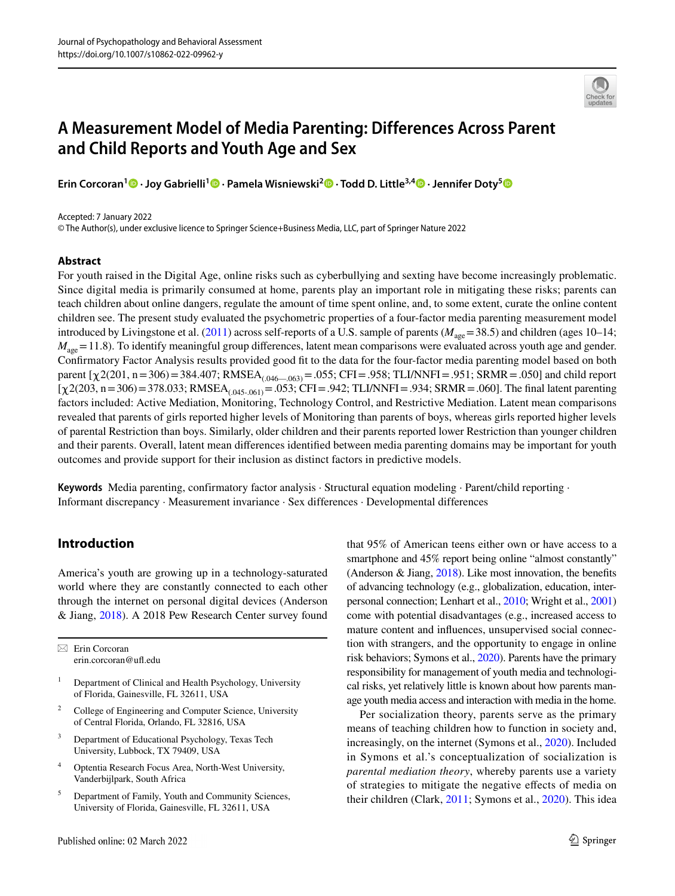

# **A Measurement Model of Media Parenting: Differences Across Parent and Child Reports and Youth Age and Sex**

**Erin Corcoran1  [·](http://orcid.org/0000-0002-5562-5150) Joy Gabrielli1  [·](http://orcid.org/0000-0001-8003-6078) Pamela Wisniewski2 · Todd D. Little3,4 · Jennifer Doty[5](http://orcid.org/0000-0001-8603-2721)**

#### Accepted: 7 January 2022

© The Author(s), under exclusive licence to Springer Science+Business Media, LLC, part of Springer Nature 2022

# **Abstract**

For youth raised in the Digital Age, online risks such as cyberbullying and sexting have become increasingly problematic. Since digital media is primarily consumed at home, parents play an important role in mitigating these risks; parents can teach children about online dangers, regulate the amount of time spent online, and, to some extent, curate the online content children see. The present study evaluated the psychometric properties of a four-factor media parenting measurement model introduced by Livingstone et al. [\(2011](#page-14-0)) across self-reports of a U.S. sample of parents ( $M_{\text{age}}$ =38.5) and children (ages 10–14;  $M<sub>ave</sub> = 11.8$ ). To identify meaningful group differences, latent mean comparisons were evaluated across youth age and gender. Confrmatory Factor Analysis results provided good ft to the data for the four-factor media parenting model based on both parent  $[\chi 2(201, n=306) = 384.407$ ; RMSEA<sub>(.046—.063)</sub> = .055; CFI = .958; TLI/NNFI = .951; SRMR = .050] and child report  $[\chi^2(203, n=306) = 378.033; RMSEA_{(.045-.061)} = .053; CFI = .942; TLI/NNFI = .934; SRMR = .060].$  The final latent parenting factors included: Active Mediation, Monitoring, Technology Control, and Restrictive Mediation. Latent mean comparisons revealed that parents of girls reported higher levels of Monitoring than parents of boys, whereas girls reported higher levels of parental Restriction than boys. Similarly, older children and their parents reported lower Restriction than younger children and their parents. Overall, latent mean diferences identifed between media parenting domains may be important for youth outcomes and provide support for their inclusion as distinct factors in predictive models.

**Keywords** Media parenting, confirmatory factor analysis · Structural equation modeling · Parent/child reporting · Informant discrepancy · Measurement invariance · Sex differences · Developmental differences

# **Introduction**

America's youth are growing up in a technology-saturated world where they are constantly connected to each other through the internet on personal digital devices (Anderson & Jiang, [2018\)](#page-12-0). A 2018 Pew Research Center survey found

 $\boxtimes$  Erin Corcoran erin.corcoran@uf.edu

- <sup>1</sup> Department of Clinical and Health Psychology, University of Florida, Gainesville, FL 32611, USA
- <sup>2</sup> College of Engineering and Computer Science, University of Central Florida, Orlando, FL 32816, USA
- <sup>3</sup> Department of Educational Psychology, Texas Tech University, Lubbock, TX 79409, USA
- <sup>4</sup> Optentia Research Focus Area, North-West University, Vanderbijlpark, South Africa
- <sup>5</sup> Department of Family, Youth and Community Sciences, University of Florida, Gainesville, FL 32611, USA

that 95% of American teens either own or have access to a smartphone and 45% report being online "almost constantly" (Anderson  $\&$  Jiang, [2018](#page-12-0)). Like most innovation, the benefits of advancing technology (e.g., globalization, education, interpersonal connection; Lenhart et al., [2010;](#page-13-0) Wright et al., [2001\)](#page-14-1) come with potential disadvantages (e.g., increased access to mature content and infuences, unsupervised social connection with strangers, and the opportunity to engage in online risk behaviors; Symons et al., [2020\)](#page-14-2). Parents have the primary responsibility for management of youth media and technological risks, yet relatively little is known about how parents manage youth media access and interaction with media in the home.

Per socialization theory, parents serve as the primary means of teaching children how to function in society and, increasingly, on the internet (Symons et al., [2020\)](#page-14-2). Included in Symons et al.'s conceptualization of socialization is *parental mediation theory*, whereby parents use a variety of strategies to mitigate the negative efects of media on their children (Clark, [2011;](#page-13-1) Symons et al., [2020\)](#page-14-2). This idea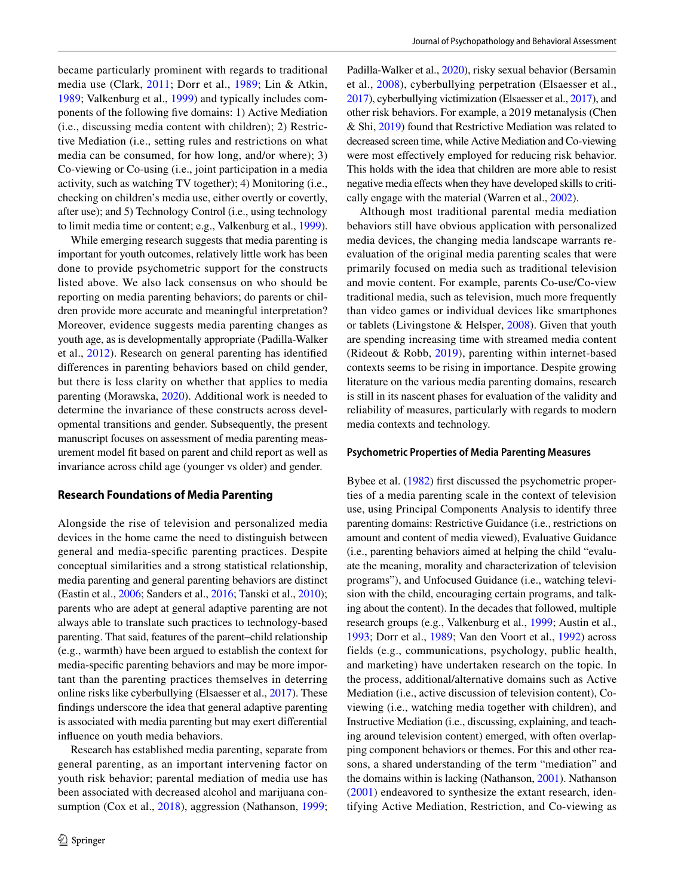became particularly prominent with regards to traditional media use (Clark, [2011](#page-13-1); Dorr et al., [1989;](#page-13-2) Lin & Atkin, [1989](#page-13-3); Valkenburg et al., [1999](#page-14-3)) and typically includes components of the following fve domains: 1) Active Mediation (i.e., discussing media content with children); 2) Restrictive Mediation (i.e., setting rules and restrictions on what media can be consumed, for how long, and/or where); 3) Co-viewing or Co-using (i.e., joint participation in a media activity, such as watching TV together); 4) Monitoring (i.e., checking on children's media use, either overtly or covertly, after use); and 5) Technology Control (i.e., using technology to limit media time or content; e.g., Valkenburg et al., [1999](#page-14-3)).

While emerging research suggests that media parenting is important for youth outcomes, relatively little work has been done to provide psychometric support for the constructs listed above. We also lack consensus on who should be reporting on media parenting behaviors; do parents or children provide more accurate and meaningful interpretation? Moreover, evidence suggests media parenting changes as youth age, as is developmentally appropriate (Padilla-Walker et al., [2012](#page-14-4)). Research on general parenting has identifed diferences in parenting behaviors based on child gender, but there is less clarity on whether that applies to media parenting (Morawska, [2020\)](#page-14-5). Additional work is needed to determine the invariance of these constructs across developmental transitions and gender. Subsequently, the present manuscript focuses on assessment of media parenting measurement model ft based on parent and child report as well as invariance across child age (younger vs older) and gender.

## **Research Foundations of Media Parenting**

Alongside the rise of television and personalized media devices in the home came the need to distinguish between general and media-specifc parenting practices. Despite conceptual similarities and a strong statistical relationship, media parenting and general parenting behaviors are distinct (Eastin et al., [2006](#page-13-4); Sanders et al., [2016](#page-14-6); Tanski et al., [2010\)](#page-14-7); parents who are adept at general adaptive parenting are not always able to translate such practices to technology-based parenting. That said, features of the parent–child relationship (e.g., warmth) have been argued to establish the context for media-specifc parenting behaviors and may be more important than the parenting practices themselves in deterring online risks like cyberbullying (Elsaesser et al., [2017\)](#page-13-5). These fndings underscore the idea that general adaptive parenting is associated with media parenting but may exert diferential infuence on youth media behaviors.

Research has established media parenting, separate from general parenting, as an important intervening factor on youth risk behavior; parental mediation of media use has been associated with decreased alcohol and marijuana con-sumption (Cox et al., [2018\)](#page-13-6), aggression (Nathanson, [1999](#page-14-8); Padilla-Walker et al., [2020\)](#page-14-9), risky sexual behavior (Bersamin et al., [2008](#page-12-1)), cyberbullying perpetration (Elsaesser et al., [2017](#page-13-5)), cyberbullying victimization (Elsaesser et al., [2017\)](#page-13-5), and other risk behaviors. For example, a 2019 metanalysis (Chen & Shi, [2019](#page-13-7)) found that Restrictive Mediation was related to decreased screen time, while Active Mediation and Co-viewing were most efectively employed for reducing risk behavior. This holds with the idea that children are more able to resist negative media efects when they have developed skills to critically engage with the material (Warren et al., [2002](#page-14-10)).

Although most traditional parental media mediation behaviors still have obvious application with personalized media devices, the changing media landscape warrants reevaluation of the original media parenting scales that were primarily focused on media such as traditional television and movie content. For example, parents Co-use/Co-view traditional media, such as television, much more frequently than video games or individual devices like smartphones or tablets (Livingstone & Helsper, [2008\)](#page-14-11). Given that youth are spending increasing time with streamed media content (Rideout & Robb, [2019\)](#page-14-12), parenting within internet-based contexts seems to be rising in importance. Despite growing literature on the various media parenting domains, research is still in its nascent phases for evaluation of the validity and reliability of measures, particularly with regards to modern media contexts and technology.

#### **Psychometric Properties of Media Parenting Measures**

Bybee et al. [\(1982](#page-13-8)) frst discussed the psychometric properties of a media parenting scale in the context of television use, using Principal Components Analysis to identify three parenting domains: Restrictive Guidance (i.e., restrictions on amount and content of media viewed), Evaluative Guidance (i.e., parenting behaviors aimed at helping the child "evaluate the meaning, morality and characterization of television programs"), and Unfocused Guidance (i.e., watching television with the child, encouraging certain programs, and talking about the content). In the decades that followed, multiple research groups (e.g., Valkenburg et al., [1999;](#page-14-3) Austin et al., [1993](#page-12-2); Dorr et al., [1989;](#page-13-2) Van den Voort et al., [1992\)](#page-14-13) across fields (e.g., communications, psychology, public health, and marketing) have undertaken research on the topic. In the process, additional/alternative domains such as Active Mediation (i.e., active discussion of television content), Coviewing (i.e., watching media together with children), and Instructive Mediation (i.e., discussing, explaining, and teaching around television content) emerged, with often overlapping component behaviors or themes. For this and other reasons, a shared understanding of the term "mediation" and the domains within is lacking (Nathanson, [2001](#page-14-14)). Nathanson ([2001\)](#page-14-14) endeavored to synthesize the extant research, identifying Active Mediation, Restriction, and Co-viewing as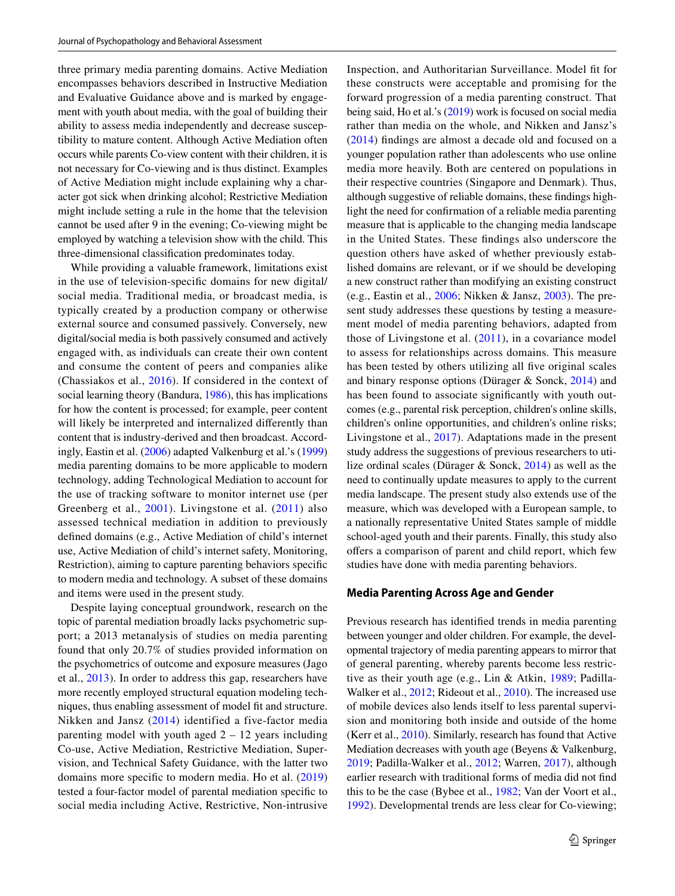three primary media parenting domains. Active Mediation encompasses behaviors described in Instructive Mediation and Evaluative Guidance above and is marked by engagement with youth about media, with the goal of building their ability to assess media independently and decrease susceptibility to mature content. Although Active Mediation often occurs while parents Co-view content with their children, it is not necessary for Co-viewing and is thus distinct. Examples of Active Mediation might include explaining why a character got sick when drinking alcohol; Restrictive Mediation might include setting a rule in the home that the television cannot be used after 9 in the evening; Co-viewing might be employed by watching a television show with the child. This three-dimensional classifcation predominates today.

While providing a valuable framework, limitations exist in the use of television-specifc domains for new digital/ social media. Traditional media, or broadcast media, is typically created by a production company or otherwise external source and consumed passively. Conversely, new digital/social media is both passively consumed and actively engaged with, as individuals can create their own content and consume the content of peers and companies alike (Chassiakos et al., [2016\)](#page-13-9). If considered in the context of social learning theory (Bandura, [1986](#page-12-3)), this has implications for how the content is processed; for example, peer content will likely be interpreted and internalized differently than content that is industry-derived and then broadcast. Accordingly, Eastin et al. [\(2006](#page-13-4)) adapted Valkenburg et al.'s ([1999\)](#page-14-3) media parenting domains to be more applicable to modern technology, adding Technological Mediation to account for the use of tracking software to monitor internet use (per Greenberg et al., [2001](#page-13-10)). Livingstone et al. ([2011\)](#page-14-0) also assessed technical mediation in addition to previously defned domains (e.g., Active Mediation of child's internet use, Active Mediation of child's internet safety, Monitoring, Restriction), aiming to capture parenting behaviors specifc to modern media and technology. A subset of these domains and items were used in the present study.

Despite laying conceptual groundwork, research on the topic of parental mediation broadly lacks psychometric support; a 2013 metanalysis of studies on media parenting found that only 20.7% of studies provided information on the psychometrics of outcome and exposure measures (Jago et al., [2013\)](#page-13-11). In order to address this gap, researchers have more recently employed structural equation modeling techniques, thus enabling assessment of model ft and structure. Nikken and Jansz [\(2014](#page-14-15)) identified a five-factor media parenting model with youth aged  $2 - 12$  years including Co-use, Active Mediation, Restrictive Mediation, Supervision, and Technical Safety Guidance, with the latter two domains more specifc to modern media. Ho et al. [\(2019\)](#page-13-12) tested a four-factor model of parental mediation specifc to social media including Active, Restrictive, Non-intrusive Inspection, and Authoritarian Surveillance. Model ft for these constructs were acceptable and promising for the forward progression of a media parenting construct. That being said, Ho et al.'s [\(2019\)](#page-13-12) work is focused on social media rather than media on the whole, and Nikken and Jansz's ([2014](#page-14-15)) fndings are almost a decade old and focused on a younger population rather than adolescents who use online media more heavily. Both are centered on populations in their respective countries (Singapore and Denmark). Thus, although suggestive of reliable domains, these fndings highlight the need for confrmation of a reliable media parenting measure that is applicable to the changing media landscape in the United States. These fndings also underscore the question others have asked of whether previously established domains are relevant, or if we should be developing a new construct rather than modifying an existing construct (e.g., Eastin et al., [2006;](#page-13-4) Nikken & Jansz, [2003](#page-14-16)). The present study addresses these questions by testing a measurement model of media parenting behaviors, adapted from those of Livingstone et al. [\(2011\)](#page-14-0), in a covariance model to assess for relationships across domains. This measure has been tested by others utilizing all five original scales and binary response options (Dürager & Sonck, [2014\)](#page-13-13) and has been found to associate signifcantly with youth outcomes (e.g., parental risk perception, children's online skills, children's online opportunities, and children's online risks; Livingstone et al., [2017](#page-14-17)). Adaptations made in the present study address the suggestions of previous researchers to utilize ordinal scales (Dürager & Sonck, [2014\)](#page-13-13) as well as the need to continually update measures to apply to the current media landscape. The present study also extends use of the measure, which was developed with a European sample, to a nationally representative United States sample of middle school-aged youth and their parents. Finally, this study also ofers a comparison of parent and child report, which few studies have done with media parenting behaviors.

## **Media Parenting Across Age and Gender**

Previous research has identifed trends in media parenting between younger and older children. For example, the developmental trajectory of media parenting appears to mirror that of general parenting, whereby parents become less restrictive as their youth age (e.g., Lin & Atkin, [1989](#page-13-3); Padilla-Walker et al., [2012](#page-14-4); Rideout et al., [2010\)](#page-14-18). The increased use of mobile devices also lends itself to less parental supervision and monitoring both inside and outside of the home (Kerr et al., [2010](#page-13-14)). Similarly, research has found that Active Mediation decreases with youth age (Beyens & Valkenburg, [2019](#page-13-15); Padilla-Walker et al., [2012;](#page-14-4) Warren, [2017](#page-14-19)), although earlier research with traditional forms of media did not fnd this to be the case (Bybee et al., [1982](#page-13-8); Van der Voort et al., [1992](#page-14-13)). Developmental trends are less clear for Co-viewing;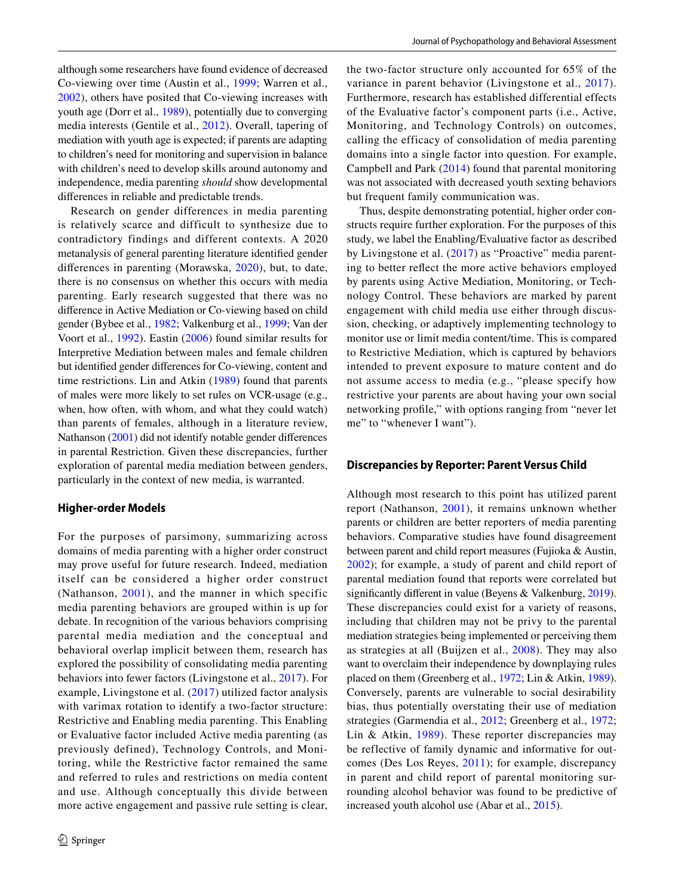although some researchers have found evidence of decreased Co-viewing over time (Austin et al., [1999](#page-12-4); Warren et al., [2002](#page-14-10)), others have posited that Co-viewing increases with youth age (Dorr et al., [1989\)](#page-13-2), potentially due to converging media interests (Gentile et al., [2012\)](#page-13-16). Overall, tapering of mediation with youth age is expected; if parents are adapting to children's need for monitoring and supervision in balance with children's need to develop skills around autonomy and independence, media parenting *should* show developmental diferences in reliable and predictable trends.

Research on gender differences in media parenting is relatively scarce and difficult to synthesize due to contradictory findings and different contexts. A 2020 metanalysis of general parenting literature identifed gender diferences in parenting (Morawska, [2020\)](#page-14-5), but, to date, there is no consensus on whether this occurs with media parenting. Early research suggested that there was no diference in Active Mediation or Co-viewing based on child gender (Bybee et al., [1982;](#page-13-8) Valkenburg et al., [1999](#page-14-3); Van der Voort et al., [1992](#page-14-13)). Eastin ([2006](#page-13-4)) found similar results for Interpretive Mediation between males and female children but identifed gender diferences for Co-viewing, content and time restrictions. Lin and Atkin ([1989](#page-13-3)) found that parents of males were more likely to set rules on VCR-usage (e.g., when, how often, with whom, and what they could watch) than parents of females, although in a literature review, Nathanson ([2001](#page-14-14)) did not identify notable gender diferences in parental Restriction. Given these discrepancies, further exploration of parental media mediation between genders, particularly in the context of new media, is warranted.

# **Higher‑order Models**

For the purposes of parsimony, summarizing across domains of media parenting with a higher order construct may prove useful for future research. Indeed, mediation itself can be considered a higher order construct (Nathanson, [2001](#page-14-14)), and the manner in which specific media parenting behaviors are grouped within is up for debate. In recognition of the various behaviors comprising parental media mediation and the conceptual and behavioral overlap implicit between them, research has explored the possibility of consolidating media parenting behaviors into fewer factors (Livingstone et al., [2017\)](#page-14-17). For example, Livingstone et al. ([2017\)](#page-14-17) utilized factor analysis with varimax rotation to identify a two-factor structure: Restrictive and Enabling media parenting. This Enabling or Evaluative factor included Active media parenting (as previously defined), Technology Controls, and Monitoring, while the Restrictive factor remained the same and referred to rules and restrictions on media content and use. Although conceptually this divide between more active engagement and passive rule setting is clear,

the two-factor structure only accounted for 65% of the variance in parent behavior (Livingstone et al., [2017\)](#page-14-17). Furthermore, research has established differential effects of the Evaluative factor's component parts (i.e., Active, Monitoring, and Technology Controls) on outcomes, calling the efficacy of consolidation of media parenting domains into a single factor into question. For example, Campbell and Park ([2014\)](#page-13-17) found that parental monitoring was not associated with decreased youth sexting behaviors but frequent family communication was.

Thus, despite demonstrating potential, higher order constructs require further exploration. For the purposes of this study, we label the Enabling/Evaluative factor as described by Livingstone et al. ([2017](#page-14-17)) as "Proactive" media parenting to better refect the more active behaviors employed by parents using Active Mediation, Monitoring, or Technology Control. These behaviors are marked by parent engagement with child media use either through discussion, checking, or adaptively implementing technology to monitor use or limit media content/time. This is compared to Restrictive Mediation, which is captured by behaviors intended to prevent exposure to mature content and do not assume access to media (e.g., "please specify how restrictive your parents are about having your own social networking profle," with options ranging from "never let me" to "whenever I want").

#### **Discrepancies by Reporter: Parent Versus Child**

Although most research to this point has utilized parent report (Nathanson, [2001](#page-14-14)), it remains unknown whether parents or children are better reporters of media parenting behaviors. Comparative studies have found disagreement between parent and child report measures (Fujioka & Austin, [2002\)](#page-13-18); for example, a study of parent and child report of parental mediation found that reports were correlated but significantly different in value (Beyens & Valkenburg, [2019](#page-13-15)). These discrepancies could exist for a variety of reasons, including that children may not be privy to the parental mediation strategies being implemented or perceiving them as strategies at all (Buijzen et al., [2008\)](#page-13-19). They may also want to overclaim their independence by downplaying rules placed on them (Greenberg et al., [1972](#page-13-20); Lin & Atkin, [1989](#page-13-3)). Conversely, parents are vulnerable to social desirability bias, thus potentially overstating their use of mediation strategies (Garmendia et al., [2012;](#page-13-21) Greenberg et al., [1972](#page-13-20); Lin & Atkin, [1989\)](#page-13-3). These reporter discrepancies may be reflective of family dynamic and informative for outcomes (Des Los Reyes, [2011\)](#page-13-22); for example, discrepancy in parent and child report of parental monitoring surrounding alcohol behavior was found to be predictive of increased youth alcohol use (Abar et al., [2015\)](#page-12-5).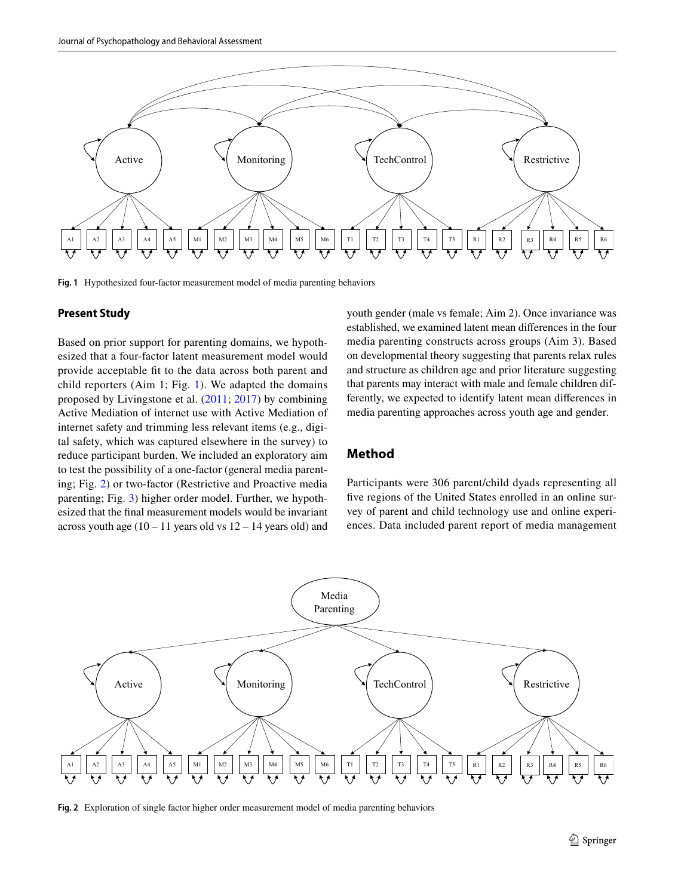

<span id="page-4-0"></span>**Fig. 1** Hypothesized four-factor measurement model of media parenting behaviors

# **Present Study**

Based on prior support for parenting domains, we hypothesized that a four-factor latent measurement model would provide acceptable ft to the data across both parent and child reporters (Aim 1; Fig. [1\)](#page-4-0). We adapted the domains proposed by Livingstone et al. ([2011](#page-14-0); [2017\)](#page-14-17) by combining Active Mediation of internet use with Active Mediation of internet safety and trimming less relevant items (e.g., digital safety, which was captured elsewhere in the survey) to reduce participant burden. We included an exploratory aim to test the possibility of a one-factor (general media parenting; Fig. [2\)](#page-4-1) or two-factor (Restrictive and Proactive media parenting; Fig. [3\)](#page-5-0) higher order model. Further, we hypothesized that the fnal measurement models would be invariant across youth age  $(10 - 11)$  years old vs  $12 - 14$  years old) and youth gender (male vs female; Aim 2). Once invariance was established, we examined latent mean diferences in the four media parenting constructs across groups (Aim 3). Based on developmental theory suggesting that parents relax rules and structure as children age and prior literature suggesting that parents may interact with male and female children differently, we expected to identify latent mean diferences in media parenting approaches across youth age and gender.

# **Method**

Participants were 306 parent/child dyads representing all five regions of the United States enrolled in an online survey of parent and child technology use and online experiences. Data included parent report of media management



<span id="page-4-1"></span>**Fig. 2** Exploration of single factor higher order measurement model of media parenting behaviors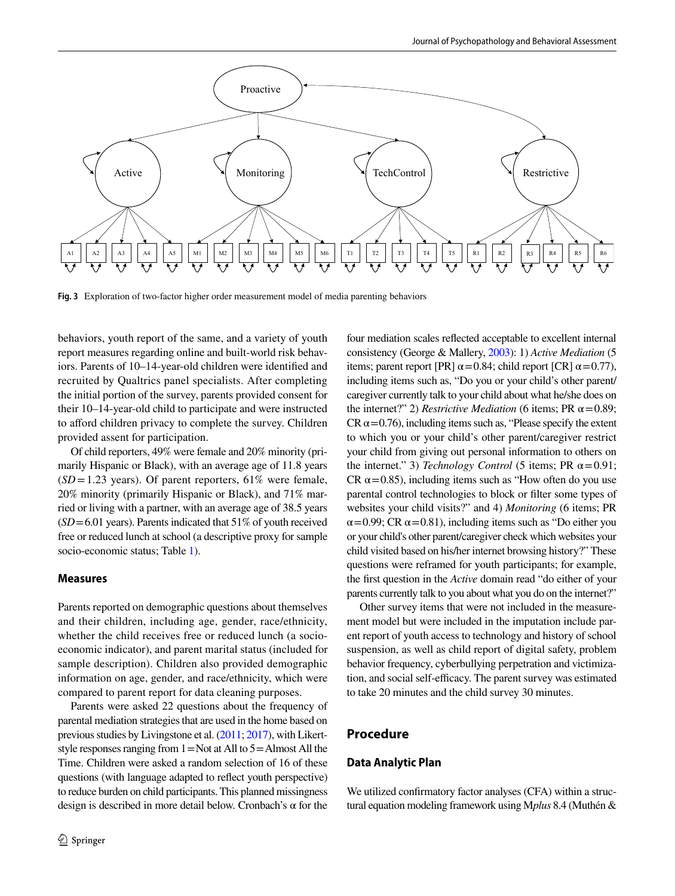

<span id="page-5-0"></span>**Fig. 3** Exploration of two-factor higher order measurement model of media parenting behaviors

behaviors, youth report of the same, and a variety of youth report measures regarding online and built-world risk behaviors. Parents of 10–14-year-old children were identifed and recruited by Qualtrics panel specialists. After completing the initial portion of the survey, parents provided consent for their 10–14-year-old child to participate and were instructed to afford children privacy to complete the survey. Children provided assent for participation.

Of child reporters, 49% were female and 20% minority (primarily Hispanic or Black), with an average age of 11.8 years  $(SD = 1.23$  years). Of parent reporters,  $61\%$  were female, 20% minority (primarily Hispanic or Black), and 71% married or living with a partner, with an average age of 38.5 years (*SD*=6.01 years). Parents indicated that 51% of youth received free or reduced lunch at school (a descriptive proxy for sample socio-economic status; Table [1](#page-6-0)).

#### **Measures**

Parents reported on demographic questions about themselves and their children, including age, gender, race/ethnicity, whether the child receives free or reduced lunch (a socioeconomic indicator), and parent marital status (included for sample description). Children also provided demographic information on age, gender, and race/ethnicity, which were compared to parent report for data cleaning purposes.

Parents were asked 22 questions about the frequency of parental mediation strategies that are used in the home based on previous studies by Livingstone et al. [\(2011](#page-14-0); [2017\)](#page-14-17), with Likertstyle responses ranging from  $1 = Not$  at All to  $5 =$ Almost All the Time. Children were asked a random selection of 16 of these questions (with language adapted to refect youth perspective) to reduce burden on child participants. This planned missingness design is described in more detail below. Cronbach's  $\alpha$  for the four mediation scales refected acceptable to excellent internal consistency (George & Mallery, [2003](#page-13-23)): 1) *Active Mediation* (5 items; parent report [PR]  $\alpha$  = 0.84; child report [CR]  $\alpha$  = 0.77), including items such as, "Do you or your child's other parent/ caregiver currently talk to your child about what he/she does on the internet?" 2) *Restrictive Mediation* (6 items; PR  $α = 0.89$ ; CR  $\alpha$ =0.76), including items such as, "Please specify the extent to which you or your child's other parent/caregiver restrict your child from giving out personal information to others on the internet." 3) *Technology Control* (5 items; PR  $\alpha$ =0.91; CR  $\alpha$ =0.85), including items such as "How often do you use parental control technologies to block or flter some types of websites your child visits?" and 4) *Monitoring* (6 items; PR  $\alpha$ =0.99; CR  $\alpha$ =0.81), including items such as "Do either you or your child's other parent/caregiver check which websites your child visited based on his/her internet browsing history?" These questions were reframed for youth participants; for example, the frst question in the *Active* domain read "do either of your parents currently talk to you about what you do on the internet?"

Other survey items that were not included in the measurement model but were included in the imputation include parent report of youth access to technology and history of school suspension, as well as child report of digital safety, problem behavior frequency, cyberbullying perpetration and victimization, and social self-efficacy. The parent survey was estimated to take 20 minutes and the child survey 30 minutes.

# **Procedure**

# **Data Analytic Plan**

We utilized confrmatory factor analyses (CFA) within a structural equation modeling framework using M*plus* 8.4 (Muthén &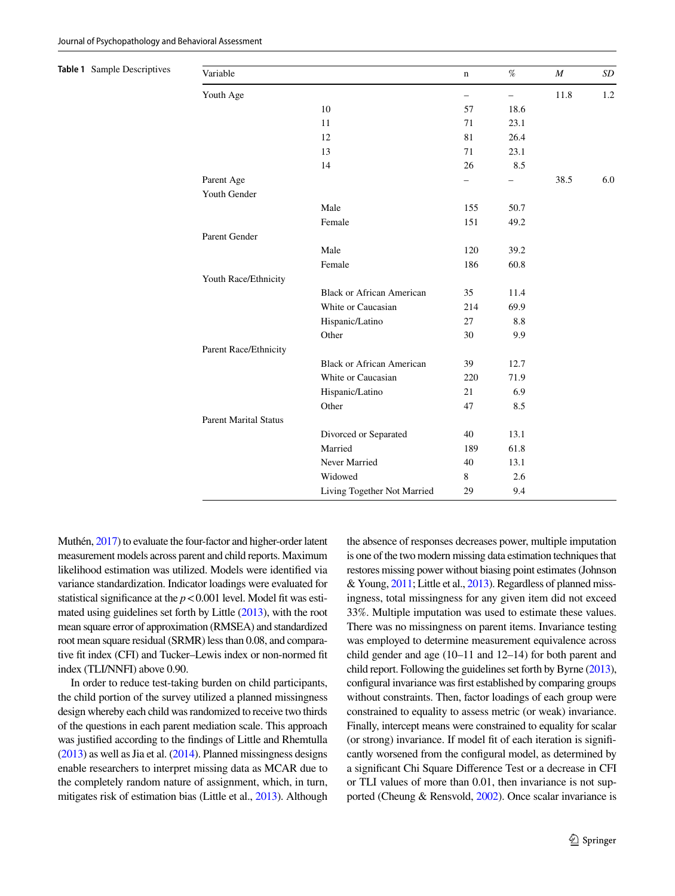<span id="page-6-0"></span>**Table 1** Sample Descriptives

| Variable                     |                                  | n                 | $\%$                     | $\boldsymbol{M}$ | SD  |
|------------------------------|----------------------------------|-------------------|--------------------------|------------------|-----|
| Youth Age                    |                                  | $\qquad \qquad -$ | $\qquad \qquad -$        | 11.8             | 1.2 |
|                              | 10                               | 57                | 18.6                     |                  |     |
|                              | 11                               | 71                | 23.1                     |                  |     |
|                              | 12                               | 81                | 26.4                     |                  |     |
|                              | 13                               | 71                | 23.1                     |                  |     |
|                              | 14                               | 26                | 8.5                      |                  |     |
| Parent Age                   |                                  |                   | $\overline{\phantom{0}}$ | 38.5             | 6.0 |
| Youth Gender                 |                                  |                   |                          |                  |     |
|                              | Male                             | 155               | 50.7                     |                  |     |
|                              | Female                           | 151               | 49.2                     |                  |     |
| Parent Gender                |                                  |                   |                          |                  |     |
|                              | Male                             | 120               | 39.2                     |                  |     |
|                              | Female                           | 186               | 60.8                     |                  |     |
| Youth Race/Ethnicity         |                                  |                   |                          |                  |     |
|                              | <b>Black or African American</b> | 35                | 11.4                     |                  |     |
|                              | White or Caucasian               | 214               | 69.9                     |                  |     |
|                              | Hispanic/Latino                  | 27                | 8.8                      |                  |     |
|                              | Other                            | 30                | 9.9                      |                  |     |
| Parent Race/Ethnicity        |                                  |                   |                          |                  |     |
|                              | <b>Black or African American</b> | 39                | 12.7                     |                  |     |
|                              | White or Caucasian               | 220               | 71.9                     |                  |     |
|                              | Hispanic/Latino                  | 21                | 6.9                      |                  |     |
|                              | Other                            | 47                | 8.5                      |                  |     |
| <b>Parent Marital Status</b> |                                  |                   |                          |                  |     |
|                              | Divorced or Separated            | 40                | 13.1                     |                  |     |
|                              | Married                          | 189               | 61.8                     |                  |     |
|                              | Never Married                    | 40                | 13.1                     |                  |     |
|                              | Widowed                          | 8                 | 2.6                      |                  |     |
|                              | Living Together Not Married      | 29                | 9.4                      |                  |     |

Muthén, [2017](#page-14-20)) to evaluate the four-factor and higher-order latent measurement models across parent and child reports. Maximum likelihood estimation was utilized. Models were identifed via variance standardization. Indicator loadings were evaluated for statistical significance at the  $p < 0.001$  level. Model fit was estimated using guidelines set forth by Little [\(2013](#page-13-24)), with the root mean square error of approximation (RMSEA) and standardized root mean square residual (SRMR) less than 0.08, and comparative fit index (CFI) and Tucker–Lewis index or non-normed fit index (TLI/NNFI) above 0.90.

In order to reduce test-taking burden on child participants, the child portion of the survey utilized a planned missingness design whereby each child was randomized to receive two thirds of the questions in each parent mediation scale. This approach was justifed according to the fndings of Little and Rhemtulla [\(2013](#page-14-21)) as well as Jia et al. [\(2014\)](#page-13-25). Planned missingness designs enable researchers to interpret missing data as MCAR due to the completely random nature of assignment, which, in turn, mitigates risk of estimation bias (Little et al., [2013\)](#page-13-26). Although

the absence of responses decreases power, multiple imputation is one of the two modern missing data estimation techniques that restores missing power without biasing point estimates (Johnson & Young, [2011](#page-13-27); Little et al., [2013\)](#page-13-26). Regardless of planned missingness, total missingness for any given item did not exceed 33%. Multiple imputation was used to estimate these values. There was no missingness on parent items. Invariance testing was employed to determine measurement equivalence across child gender and age (10–11 and 12–14) for both parent and child report. Following the guidelines set forth by Byrne [\(2013\)](#page-13-28), confgural invariance was frst established by comparing groups without constraints. Then, factor loadings of each group were constrained to equality to assess metric (or weak) invariance. Finally, intercept means were constrained to equality for scalar (or strong) invariance. If model ft of each iteration is signifcantly worsened from the confgural model, as determined by a signifcant Chi Square Diference Test or a decrease in CFI or TLI values of more than 0.01, then invariance is not supported (Cheung & Rensvold, [2002\)](#page-13-29). Once scalar invariance is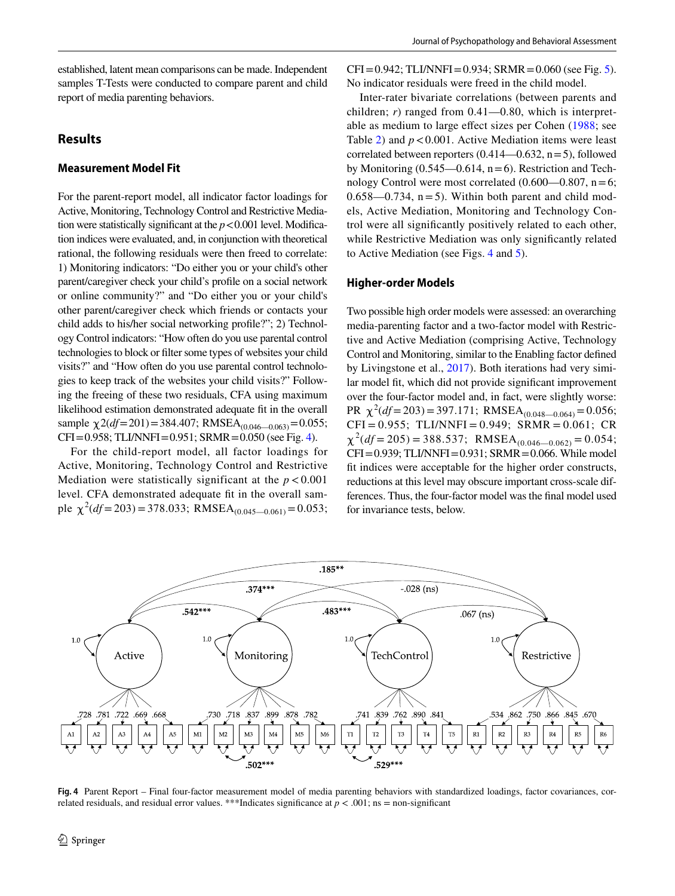established, latent mean comparisons can be made. Independent samples T-Tests were conducted to compare parent and child report of media parenting behaviors.

# **Results**

# **Measurement Model Fit**

For the parent-report model, all indicator factor loadings for Active, Monitoring, Technology Control and Restrictive Mediation were statistically significant at the  $p < 0.001$  level. Modification indices were evaluated, and, in conjunction with theoretical rational, the following residuals were then freed to correlate: 1) Monitoring indicators: "Do either you or your child's other parent/caregiver check your child's profle on a social network or online community?" and "Do either you or your child's other parent/caregiver check which friends or contacts your child adds to his/her social networking profle?"; 2) Technology Control indicators: "How often do you use parental control technologies to block or flter some types of websites your child visits?" and "How often do you use parental control technologies to keep track of the websites your child visits?" Following the freeing of these two residuals, CFA using maximum likelihood estimation demonstrated adequate ft in the overall sample  $\chi$ 2(*df*=201)=384.407; RMSEA<sub>(0.046—0.063)</sub>=0.055; CFI=0.958; TLI/NNFI=0.951; SRMR=0.050 (see Fig. [4\)](#page-7-0).

For the child-report model, all factor loadings for Active, Monitoring, Technology Control and Restrictive Mediation were statistically significant at the  $p < 0.001$ level. CFA demonstrated adequate ft in the overall sample  $\chi^2(df = 203) = 378.033$ ; RMSEA<sub>(0.045–0.061)</sub> = 0.053;  $CFI = 0.942$ ; TLI/NNFI = 0.934; SRMR = 0.060 (see Fig. [5](#page-8-0)). No indicator residuals were freed in the child model.

Inter-rater bivariate correlations (between parents and children; *r*) ranged from 0.41—0.80, which is interpretable as medium to large efect sizes per Cohen ([1988;](#page-13-30) see Table  $2$ ) and  $p < 0.001$ . Active Mediation items were least correlated between reporters  $(0.414 - 0.632, n = 5)$ , followed by Monitoring  $(0.545-0.614, n=6)$ . Restriction and Technology Control were most correlated  $(0.600-0.807, n=6;$  $0.658 - 0.734$ , n = 5). Within both parent and child models, Active Mediation, Monitoring and Technology Control were all signifcantly positively related to each other, while Restrictive Mediation was only signifcantly related to Active Mediation (see Figs. [4](#page-7-0) and [5](#page-8-0)).

# **Higher‑order Models**

Two possible high order models were assessed: an overarching media-parenting factor and a two-factor model with Restrictive and Active Mediation (comprising Active, Technology Control and Monitoring, similar to the Enabling factor defned by Livingstone et al., [2017\)](#page-14-17). Both iterations had very similar model ft, which did not provide signifcant improvement over the four-factor model and, in fact, were slightly worse: PR  $\chi^2(df=203) = 397.171$ ; RMSEA<sub>(0.048-0.064)</sub> = 0.056;  $CFI = 0.955$ ; TLI/NNFI = 0.949; SRMR = 0.061; CR  $\chi^2(df = 205) = 388.537; RMSEA_{(0.046-0.062)} = 0.054;$  $CFI = 0.939$ ; TLI/NNFI =  $0.931$ ; SRMR =  $0.066$ . While model ft indices were acceptable for the higher order constructs, reductions at this level may obscure important cross-scale differences. Thus, the four-factor model was the fnal model used for invariance tests, below.



<span id="page-7-0"></span>**Fig. 4** Parent Report – Final four-factor measurement model of media parenting behaviors with standardized loadings, factor covariances, correlated residuals, and residual error values. \*\*\*Indicates significance at  $p < .001$ ; ns = non-significant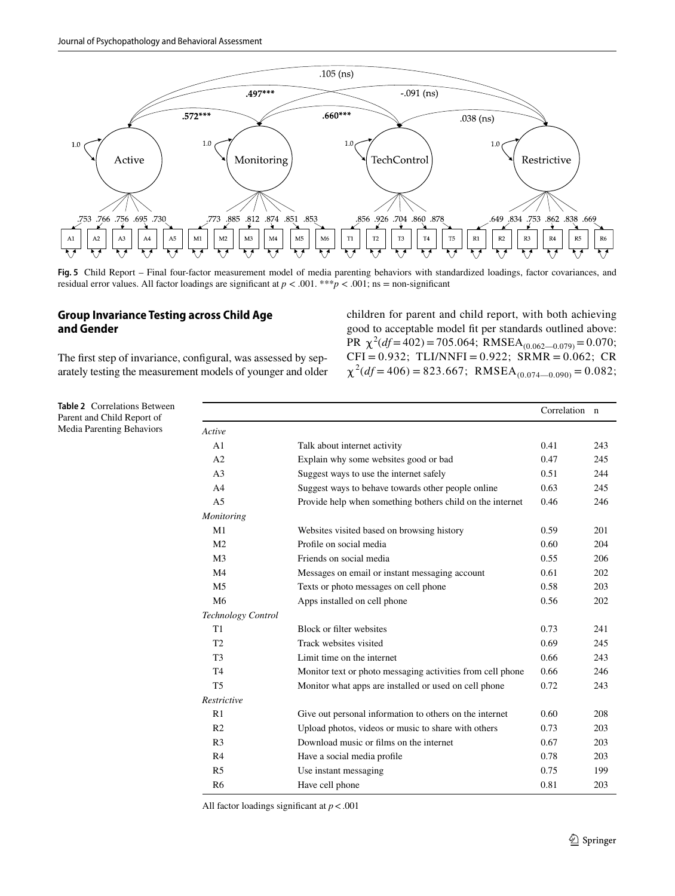

<span id="page-8-0"></span>**Fig. 5** Child Report – Final four-factor measurement model of media parenting behaviors with standardized loadings, factor covariances, and residual error values. All factor loadings are signifcant at *p* < .001. \*\*\**p* < .001; ns = non-signifcant

# **Group Invariance Testing across Child Age and Gender**

The first step of invariance, configural, was assessed by separately testing the measurement models of younger and older children for parent and child report, with both achieving good to acceptable model ft per standards outlined above: PR  $\chi^2(df=402) = 705.064$ ; RMSEA<sub>(0.062-0.079)</sub> = 0.070;  $CFI = 0.932$ ; TLI/NNFI = 0.922; SRMR = 0.062; CR  $\chi^2(df = 406) = 823.667$ ; RMSEA<sub>(0.074-0.090)</sub> = 0.082;

<span id="page-8-1"></span>

| <b>Table 2</b> Correlations Between |
|-------------------------------------|
| Parent and Child Report of          |
| Media Parenting Behaviors           |

|                           |                                                            | Correlation | $\mathbf n$ |
|---------------------------|------------------------------------------------------------|-------------|-------------|
| Active                    |                                                            |             |             |
| A1                        | Talk about internet activity                               | 0.41        | 243         |
| A2                        | Explain why some websites good or bad                      | 0.47        | 245         |
| A <sub>3</sub>            | Suggest ways to use the internet safely                    | 0.51        | 244         |
| A <sup>4</sup>            | Suggest ways to behave towards other people online         | 0.63        | 245         |
| A <sub>5</sub>            | Provide help when something bothers child on the internet  | 0.46        | 246         |
| <b>Monitoring</b>         |                                                            |             |             |
| M1                        | Websites visited based on browsing history                 | 0.59        | 201         |
| M <sub>2</sub>            | Profile on social media                                    | 0.60        | 204         |
| M <sub>3</sub>            | Friends on social media                                    | 0.55        | 206         |
| M <sub>4</sub>            | Messages on email or instant messaging account             | 0.61        | 202         |
| M <sub>5</sub>            | Texts or photo messages on cell phone                      | 0.58        | 203         |
| M6                        | Apps installed on cell phone                               | 0.56        | 202         |
| <b>Technology Control</b> |                                                            |             |             |
| T <sub>1</sub>            | Block or filter websites                                   | 0.73        | 241         |
| T <sub>2</sub>            | Track websites visited                                     | 0.69        | 245         |
| T <sub>3</sub>            | Limit time on the internet                                 | 0.66        | 243         |
| T4                        | Monitor text or photo messaging activities from cell phone | 0.66        | 246         |
| T <sub>5</sub>            | Monitor what apps are installed or used on cell phone      | 0.72        | 243         |
| Restrictive               |                                                            |             |             |
| R1                        | Give out personal information to others on the internet    | 0.60        | 208         |
| R <sub>2</sub>            | Upload photos, videos or music to share with others        | 0.73        | 203         |
| R <sub>3</sub>            | Download music or films on the internet                    | 0.67        | 203         |
| R4                        | Have a social media profile                                | 0.78        | 203         |
| R <sub>5</sub>            | Use instant messaging                                      | 0.75        | 199         |
| R <sub>6</sub>            | Have cell phone                                            | 0.81        | 203         |

All factor loadings signifcant at *p*<.001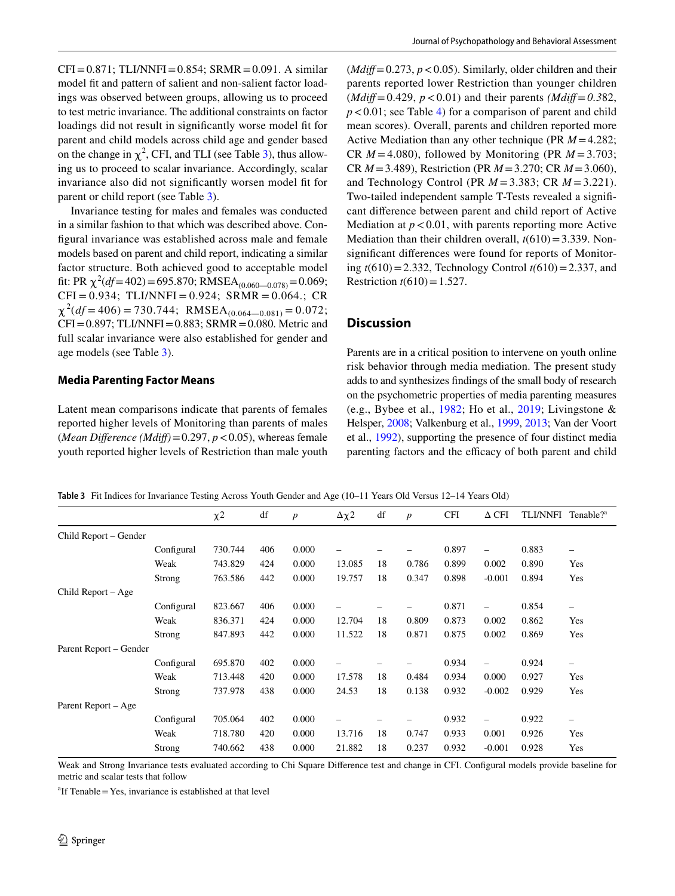$CFI = 0.871$ ; TLI/NNFI = 0.854; SRMR = 0.091. A similar model fit and pattern of salient and non-salient factor loadings was observed between groups, allowing us to proceed to test metric invariance. The additional constraints on factor loadings did not result in signifcantly worse model ft for parent and child models across child age and gender based on the change in  $\chi^2$ , CFI, and TLI (see Table [3\)](#page-9-0), thus allowing us to proceed to scalar invariance. Accordingly, scalar invariance also did not signifcantly worsen model ft for parent or child report (see Table [3\)](#page-9-0).

Invariance testing for males and females was conducted in a similar fashion to that which was described above. Confgural invariance was established across male and female models based on parent and child report, indicating a similar factor structure. Both achieved good to acceptable model fit: PR  $\chi^2(df=402) = 695.870$ ; RMSEA<sub>(0.060—0.078)</sub> = 0.069;  $CFI = 0.934$ ; TLI/NNFI = 0.924; SRMR = 0.064.; CR  $\chi^2(df = 406) = 730.744; \text{ RMSEA}_{(0.064-0.081)} = 0.072;$ CFI=0.897; TLI/NNFI=0.883; SRMR=0.080. Metric and full scalar invariance were also established for gender and age models (see Table [3\)](#page-9-0).

## **Media Parenting Factor Means**

Latent mean comparisons indicate that parents of females reported higher levels of Monitoring than parents of males (*Mean Diference (Mdif)*=0.297, *p*<0.05), whereas female youth reported higher levels of Restriction than male youth  $(Mdiff=0.273, p<0.05)$ . Similarly, older children and their parents reported lower Restriction than younger children (*Mdif*=0.429, *p*<0.01) and their parents *(Mdif*=*0.3*82,  $p < 0.01$ ; see Table [4](#page-10-0)) for a comparison of parent and child mean scores). Overall, parents and children reported more Active Mediation than any other technique (PR *M*=4.282; CR  $M = 4.080$ , followed by Monitoring (PR  $M = 3.703$ ; CR *M*=3.489), Restriction (PR *M*=3.270; CR *M*=3.060), and Technology Control (PR *M* =3.383; CR *M* =3.221). Two-tailed independent sample T-Tests revealed a signifcant diference between parent and child report of Active Mediation at  $p < 0.01$ , with parents reporting more Active Mediation than their children overall,  $t(610)=3.339$ . Nonsignifcant diferences were found for reports of Monitoring *t*(610)=2.332, Technology Control *t(*610)=2.337, and Restriction  $t(610) = 1.527$ .

# **Discussion**

Parents are in a critical position to intervene on youth online risk behavior through media mediation. The present study adds to and synthesizes fndings of the small body of research on the psychometric properties of media parenting measures (e.g., Bybee et al.,  $1982$ ; Ho et al.,  $2019$ ; Livingstone & Helsper, [2008](#page-14-11); Valkenburg et al., [1999](#page-14-3), [2013](#page-14-22); Van der Voort et al., [1992\)](#page-14-13), supporting the presence of four distinct media parenting factors and the efficacy of both parent and child

<span id="page-9-0"></span>**Table 3** Fit Indices for Invariance Testing Across Youth Gender and Age (10–11 Years Old Versus 12–14 Years Old)

 $\chi$ 2 df *p*  $\Delta \chi$ 2 df *p* CFI  $\Delta$  CFI TLI/NNFI Tenable?<sup>a</sup> Child Report – Gender Confgural 730.744 406 0.000 – – – 0.897 – 0.883 – Weak 743.829 424 0.000 13.085 18 0.786 0.899 0.002 0.890 Yes Strong 763.586 442 0.000 19.757 18 0.347 0.898 -0.001 0.894 Yes Child Report – Age Confgural 823.667 406 0.000 – – – 0.871 – 0.854 – Weak 836.371 424 0.000 12.704 18 0.809 0.873 0.002 0.862 Yes Strong 847.893 442 0.000 11.522 18 0.871 0.875 0.002 0.869 Yes Parent Report – Gender Confgural 695.870 402 0.000 – – – 0.934 – 0.924 – Weak 713.448 420 0.000 17.578 18 0.484 0.934 0.000 0.927 Yes Strong 737.978 438 0.000 24.53 18 0.138 0.932 -0.002 0.929 Yes Parent Report – Age Confgural 705.064 402 0.000 – – – 0.932 – 0.922 – Weak 718.780 420 0.000 13.716 18 0.747 0.933 0.001 0.926 Yes Strong 740.662 438 0.000 21.882 18 0.237 0.932 -0.001 0.928 Yes

Weak and Strong Invariance tests evaluated according to Chi Square Diference test and change in CFI. Confgural models provide baseline for metric and scalar tests that follow

<sup>a</sup>If Tenable = Yes, invariance is established at that level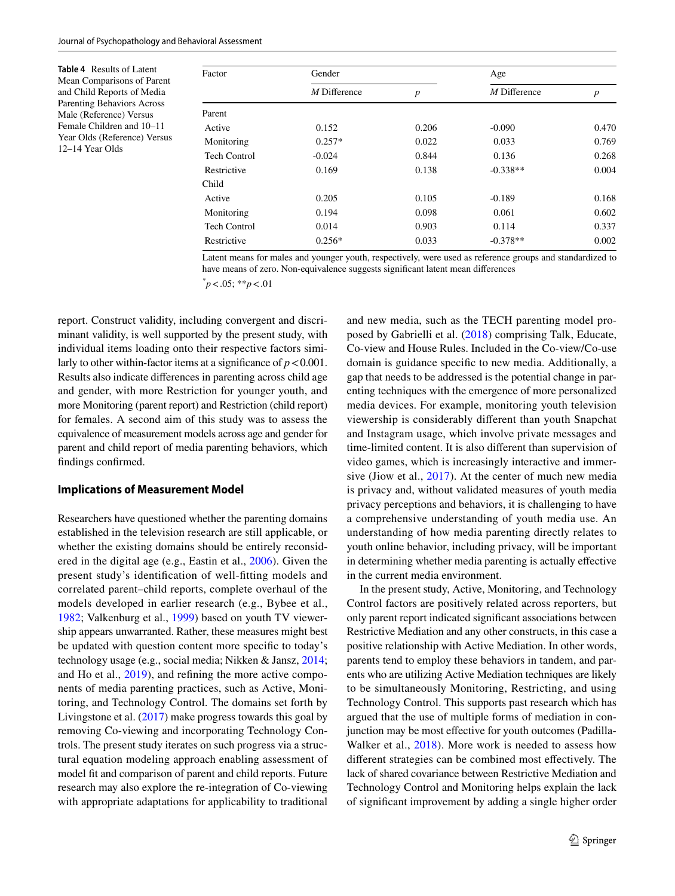<span id="page-10-0"></span>**Table 4** Results of Latent Mean Comparisons of Parent and Child Reports of Media Parenting Behaviors Across Male (Reference) Versus Female Children and 10–11 Year Olds (Reference) Versus 12–14 Year Olds

| Factor              | Gender       |                  |              | Age              |  |  |
|---------------------|--------------|------------------|--------------|------------------|--|--|
|                     | M Difference | $\boldsymbol{p}$ | M Difference | $\boldsymbol{p}$ |  |  |
| Parent              |              |                  |              |                  |  |  |
| Active              | 0.152        | 0.206            | $-0.090$     | 0.470            |  |  |
| Monitoring          | $0.257*$     | 0.022            | 0.033        | 0.769            |  |  |
| <b>Tech Control</b> | $-0.024$     | 0.844            | 0.136        | 0.268            |  |  |
| Restrictive         | 0.169        | 0.138            | $-0.338**$   | 0.004            |  |  |
| Child               |              |                  |              |                  |  |  |
| Active              | 0.205        | 0.105            | $-0.189$     | 0.168            |  |  |
| Monitoring          | 0.194        | 0.098            | 0.061        | 0.602            |  |  |
| <b>Tech Control</b> | 0.014        | 0.903            | 0.114        | 0.337            |  |  |
| Restrictive         | $0.256*$     | 0.033            | $-0.378**$   | 0.002            |  |  |

Latent means for males and younger youth, respectively, were used as reference groups and standardized to have means of zero. Non-equivalence suggests signifcant latent mean diferences

*\* p*<.05; \*\**p*<.01

report. Construct validity, including convergent and discriminant validity, is well supported by the present study, with individual items loading onto their respective factors similarly to other within-factor items at a significance of  $p < 0.001$ . Results also indicate diferences in parenting across child age and gender, with more Restriction for younger youth, and more Monitoring (parent report) and Restriction (child report) for females. A second aim of this study was to assess the equivalence of measurement models across age and gender for parent and child report of media parenting behaviors, which fndings confrmed.

## **Implications of Measurement Model**

Researchers have questioned whether the parenting domains established in the television research are still applicable, or whether the existing domains should be entirely reconsidered in the digital age (e.g., Eastin et al., [2006\)](#page-13-4). Given the present study's identifcation of well-ftting models and correlated parent–child reports, complete overhaul of the models developed in earlier research (e.g., Bybee et al., [1982](#page-13-8); Valkenburg et al., [1999\)](#page-14-3) based on youth TV viewership appears unwarranted. Rather, these measures might best be updated with question content more specifc to today's technology usage (e.g., social media; Nikken & Jansz, [2014](#page-14-15); and Ho et al., [2019](#page-13-12)), and refning the more active components of media parenting practices, such as Active, Monitoring, and Technology Control. The domains set forth by Livingstone et al. [\(2017](#page-14-17)) make progress towards this goal by removing Co-viewing and incorporating Technology Controls. The present study iterates on such progress via a structural equation modeling approach enabling assessment of model ft and comparison of parent and child reports. Future research may also explore the re-integration of Co-viewing with appropriate adaptations for applicability to traditional and new media, such as the TECH parenting model proposed by Gabrielli et al. ([2018\)](#page-13-31) comprising Talk, Educate, Co-view and House Rules. Included in the Co-view/Co-use domain is guidance specifc to new media. Additionally, a gap that needs to be addressed is the potential change in parenting techniques with the emergence of more personalized media devices. For example, monitoring youth television viewership is considerably diferent than youth Snapchat and Instagram usage, which involve private messages and time-limited content. It is also diferent than supervision of video games, which is increasingly interactive and immersive (Jiow et al., [2017](#page-13-32)). At the center of much new media is privacy and, without validated measures of youth media privacy perceptions and behaviors, it is challenging to have a comprehensive understanding of youth media use. An understanding of how media parenting directly relates to youth online behavior, including privacy, will be important in determining whether media parenting is actually efective in the current media environment.

In the present study, Active, Monitoring, and Technology Control factors are positively related across reporters, but only parent report indicated signifcant associations between Restrictive Mediation and any other constructs, in this case a positive relationship with Active Mediation. In other words, parents tend to employ these behaviors in tandem, and parents who are utilizing Active Mediation techniques are likely to be simultaneously Monitoring, Restricting, and using Technology Control. This supports past research which has argued that the use of multiple forms of mediation in conjunction may be most efective for youth outcomes (Padilla-Walker et al., [2018](#page-14-23)). More work is needed to assess how diferent strategies can be combined most efectively. The lack of shared covariance between Restrictive Mediation and Technology Control and Monitoring helps explain the lack of signifcant improvement by adding a single higher order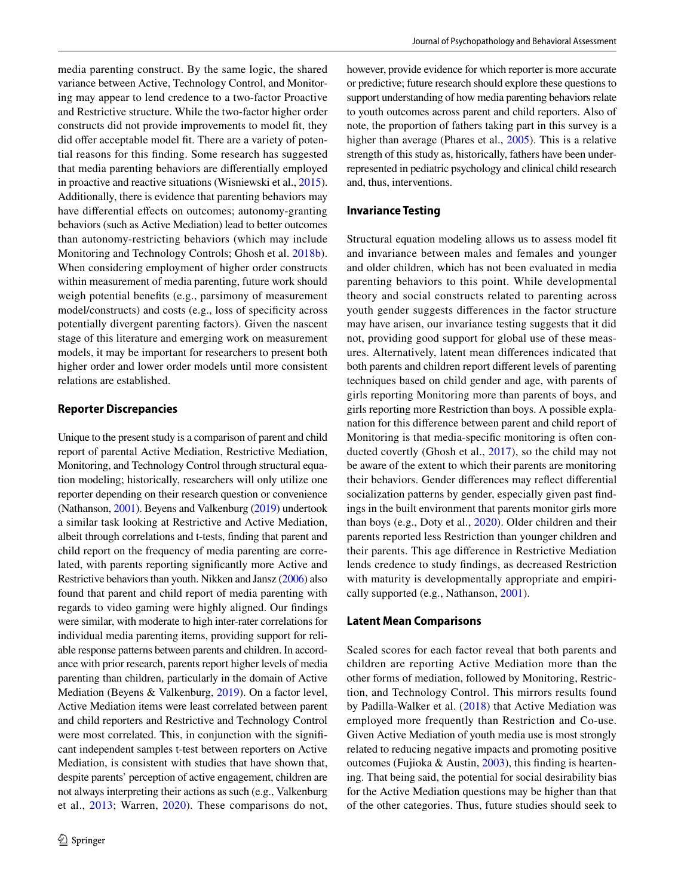media parenting construct. By the same logic, the shared variance between Active, Technology Control, and Monitoring may appear to lend credence to a two-factor Proactive and Restrictive structure. While the two-factor higher order constructs did not provide improvements to model ft, they did offer acceptable model fit. There are a variety of potential reasons for this fnding. Some research has suggested that media parenting behaviors are diferentially employed in proactive and reactive situations (Wisniewski et al., [2015](#page-14-24)). Additionally, there is evidence that parenting behaviors may have differential effects on outcomes; autonomy-granting behaviors (such as Active Mediation) lead to better outcomes than autonomy-restricting behaviors (which may include Monitoring and Technology Controls; Ghosh et al. [2018b](#page-13-33)). When considering employment of higher order constructs within measurement of media parenting, future work should weigh potential benefts (e.g., parsimony of measurement model/constructs) and costs (e.g., loss of specifcity across potentially divergent parenting factors). Given the nascent stage of this literature and emerging work on measurement models, it may be important for researchers to present both higher order and lower order models until more consistent relations are established.

## **Reporter Discrepancies**

Unique to the present study is a comparison of parent and child report of parental Active Mediation, Restrictive Mediation, Monitoring, and Technology Control through structural equation modeling; historically, researchers will only utilize one reporter depending on their research question or convenience (Nathanson, [2001\)](#page-14-14). Beyens and Valkenburg [\(2019\)](#page-13-15) undertook a similar task looking at Restrictive and Active Mediation, albeit through correlations and t-tests, fnding that parent and child report on the frequency of media parenting are correlated, with parents reporting signifcantly more Active and Restrictive behaviors than youth. Nikken and Jansz [\(2006](#page-14-25)) also found that parent and child report of media parenting with regards to video gaming were highly aligned. Our fndings were similar, with moderate to high inter-rater correlations for individual media parenting items, providing support for reliable response patterns between parents and children. In accordance with prior research, parents report higher levels of media parenting than children, particularly in the domain of Active Mediation (Beyens & Valkenburg, [2019](#page-13-15)). On a factor level, Active Mediation items were least correlated between parent and child reporters and Restrictive and Technology Control were most correlated. This, in conjunction with the signifcant independent samples t-test between reporters on Active Mediation, is consistent with studies that have shown that, despite parents' perception of active engagement, children are not always interpreting their actions as such (e.g., Valkenburg et al., [2013;](#page-14-22) Warren, [2020](#page-14-26)). These comparisons do not, however, provide evidence for which reporter is more accurate or predictive; future research should explore these questions to support understanding of how media parenting behaviors relate to youth outcomes across parent and child reporters. Also of note, the proportion of fathers taking part in this survey is a higher than average (Phares et al., [2005](#page-14-27)). This is a relative strength of this study as, historically, fathers have been underrepresented in pediatric psychology and clinical child research and, thus, interventions.

## **Invariance Testing**

Structural equation modeling allows us to assess model ft and invariance between males and females and younger and older children, which has not been evaluated in media parenting behaviors to this point. While developmental theory and social constructs related to parenting across youth gender suggests diferences in the factor structure may have arisen, our invariance testing suggests that it did not, providing good support for global use of these measures. Alternatively, latent mean diferences indicated that both parents and children report diferent levels of parenting techniques based on child gender and age, with parents of girls reporting Monitoring more than parents of boys, and girls reporting more Restriction than boys. A possible explanation for this diference between parent and child report of Monitoring is that media-specifc monitoring is often conducted covertly (Ghosh et al., [2017\)](#page-13-34), so the child may not be aware of the extent to which their parents are monitoring their behaviors. Gender diferences may refect diferential socialization patterns by gender, especially given past fndings in the built environment that parents monitor girls more than boys (e.g., Doty et al., [2020\)](#page-13-35). Older children and their parents reported less Restriction than younger children and their parents. This age diference in Restrictive Mediation lends credence to study fndings, as decreased Restriction with maturity is developmentally appropriate and empirically supported (e.g., Nathanson, [2001\)](#page-14-14).

## **Latent Mean Comparisons**

Scaled scores for each factor reveal that both parents and children are reporting Active Mediation more than the other forms of mediation, followed by Monitoring, Restriction, and Technology Control. This mirrors results found by Padilla-Walker et al. ([2018](#page-14-23)) that Active Mediation was employed more frequently than Restriction and Co-use. Given Active Mediation of youth media use is most strongly related to reducing negative impacts and promoting positive outcomes (Fujioka & Austin, [2003\)](#page-13-36), this fnding is heartening. That being said, the potential for social desirability bias for the Active Mediation questions may be higher than that of the other categories. Thus, future studies should seek to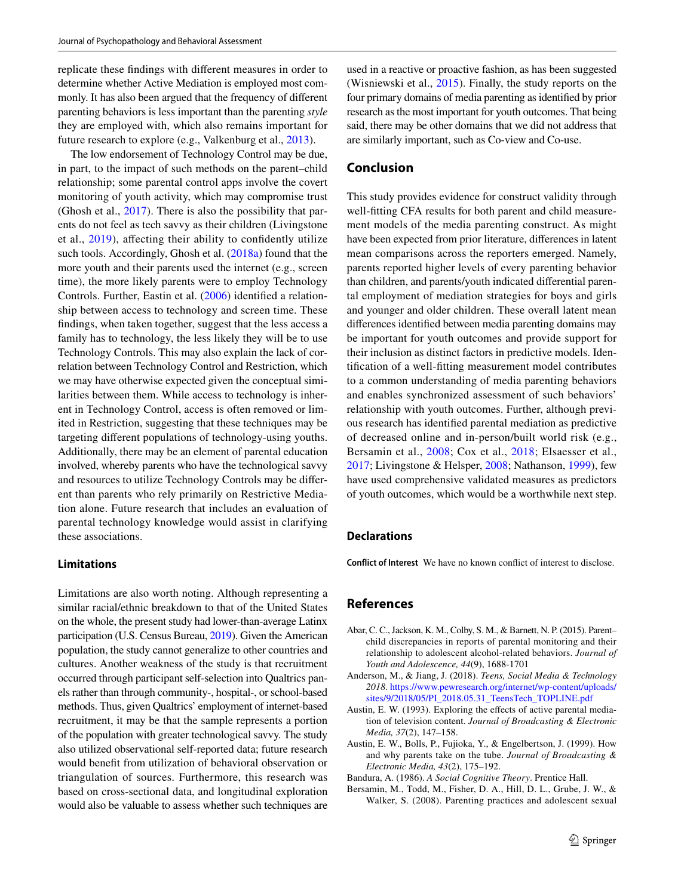replicate these fndings with diferent measures in order to determine whether Active Mediation is employed most commonly. It has also been argued that the frequency of diferent parenting behaviors is less important than the parenting *style* they are employed with, which also remains important for future research to explore (e.g., Valkenburg et al., [2013](#page-14-22)).

The low endorsement of Technology Control may be due, in part, to the impact of such methods on the parent–child relationship; some parental control apps involve the covert monitoring of youth activity, which may compromise trust (Ghosh et al., [2017\)](#page-13-34). There is also the possibility that parents do not feel as tech savvy as their children (Livingstone et al., [2019\)](#page-14-28), afecting their ability to confdently utilize such tools. Accordingly, Ghosh et al. ([2018a](#page-13-37)) found that the more youth and their parents used the internet (e.g., screen time), the more likely parents were to employ Technology Controls. Further, Eastin et al. [\(2006](#page-13-4)) identifed a relationship between access to technology and screen time. These fndings, when taken together, suggest that the less access a family has to technology, the less likely they will be to use Technology Controls. This may also explain the lack of correlation between Technology Control and Restriction, which we may have otherwise expected given the conceptual similarities between them. While access to technology is inherent in Technology Control, access is often removed or limited in Restriction, suggesting that these techniques may be targeting diferent populations of technology-using youths. Additionally, there may be an element of parental education involved, whereby parents who have the technological savvy and resources to utilize Technology Controls may be diferent than parents who rely primarily on Restrictive Mediation alone. Future research that includes an evaluation of parental technology knowledge would assist in clarifying these associations.

## **Limitations**

Limitations are also worth noting. Although representing a similar racial/ethnic breakdown to that of the United States on the whole, the present study had lower-than-average Latinx participation (U.S. Census Bureau, [2019](#page-14-29)). Given the American population, the study cannot generalize to other countries and cultures. Another weakness of the study is that recruitment occurred through participant self-selection into Qualtrics panels rather than through community-, hospital-, or school-based methods. Thus, given Qualtrics' employment of internet-based recruitment, it may be that the sample represents a portion of the population with greater technological savvy. The study also utilized observational self-reported data; future research would beneft from utilization of behavioral observation or triangulation of sources. Furthermore, this research was based on cross-sectional data, and longitudinal exploration would also be valuable to assess whether such techniques are

used in a reactive or proactive fashion, as has been suggested (Wisniewski et al., [2015](#page-14-24)). Finally, the study reports on the four primary domains of media parenting as identifed by prior research as the most important for youth outcomes. That being said, there may be other domains that we did not address that are similarly important, such as Co-view and Co-use.

# **Conclusion**

This study provides evidence for construct validity through well-ftting CFA results for both parent and child measurement models of the media parenting construct. As might have been expected from prior literature, diferences in latent mean comparisons across the reporters emerged. Namely, parents reported higher levels of every parenting behavior than children, and parents/youth indicated diferential parental employment of mediation strategies for boys and girls and younger and older children. These overall latent mean diferences identifed between media parenting domains may be important for youth outcomes and provide support for their inclusion as distinct factors in predictive models. Identifcation of a well-ftting measurement model contributes to a common understanding of media parenting behaviors and enables synchronized assessment of such behaviors' relationship with youth outcomes. Further, although previous research has identifed parental mediation as predictive of decreased online and in-person/built world risk (e.g., Bersamin et al., [2008](#page-12-1); Cox et al., [2018](#page-13-6); Elsaesser et al., [2017](#page-13-5); Livingstone & Helsper, [2008](#page-14-11); Nathanson, [1999](#page-14-8)), few have used comprehensive validated measures as predictors of youth outcomes, which would be a worthwhile next step.

# **Declarations**

**Conflict of Interest** We have no known confict of interest to disclose.

# **References**

- <span id="page-12-5"></span>Abar, C. C., Jackson, K. M., Colby, S. M., & Barnett, N. P. (2015). Parent– child discrepancies in reports of parental monitoring and their relationship to adolescent alcohol-related behaviors. *Journal of Youth and Adolescence, 44*(9), 1688-1701
- <span id="page-12-0"></span>Anderson, M., & Jiang, J. (2018). *Teens, Social Media & Technology 2018*. [https://www.pewresearch.org/internet/wp-content/uploads/](https://www.pewresearch.org/internet/wp-content/uploads/sites/9/2018/05/PI_2018.05.31_TeensTech_TOPLINE.pdf) [sites/9/2018/05/PI\\_2018.05.31\\_TeensTech\\_TOPLINE.pdf](https://www.pewresearch.org/internet/wp-content/uploads/sites/9/2018/05/PI_2018.05.31_TeensTech_TOPLINE.pdf)
- <span id="page-12-2"></span>Austin, E. W. (1993). Exploring the effects of active parental mediation of television content. *Journal of Broadcasting & Electronic Media, 37*(2), 147–158.
- <span id="page-12-4"></span>Austin, E. W., Bolls, P., Fujioka, Y., & Engelbertson, J. (1999). How and why parents take on the tube. *Journal of Broadcasting & Electronic Media, 43*(2), 175–192.
- <span id="page-12-3"></span>Bandura, A. (1986). *A Social Cognitive Theory*. Prentice Hall.
- <span id="page-12-1"></span>Bersamin, M., Todd, M., Fisher, D. A., Hill, D. L., Grube, J. W., & Walker, S. (2008). Parenting practices and adolescent sexual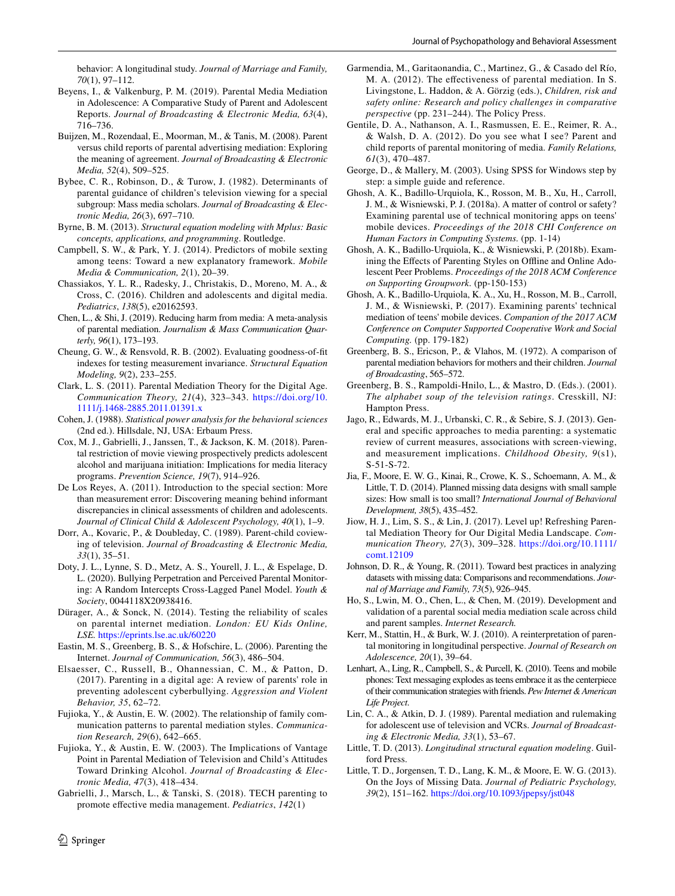behavior: A longitudinal study. *Journal of Marriage and Family, 70*(1), 97–112.

- <span id="page-13-15"></span>Beyens, I., & Valkenburg, P. M. (2019). Parental Media Mediation in Adolescence: A Comparative Study of Parent and Adolescent Reports. *Journal of Broadcasting & Electronic Media, 63*(4), 716–736.
- <span id="page-13-19"></span>Buijzen, M., Rozendaal, E., Moorman, M., & Tanis, M. (2008). Parent versus child reports of parental advertising mediation: Exploring the meaning of agreement. *Journal of Broadcasting & Electronic Media, 52*(4), 509–525.
- <span id="page-13-8"></span>Bybee, C. R., Robinson, D., & Turow, J. (1982). Determinants of parental guidance of children's television viewing for a special subgroup: Mass media scholars. *Journal of Broadcasting & Electronic Media, 26*(3), 697–710.
- <span id="page-13-28"></span>Byrne, B. M. (2013). *Structural equation modeling with Mplus: Basic concepts, applications, and programming*. Routledge.
- <span id="page-13-17"></span>Campbell, S. W., & Park, Y. J. (2014). Predictors of mobile sexting among teens: Toward a new explanatory framework. *Mobile Media & Communication, 2*(1), 20–39.
- <span id="page-13-9"></span>Chassiakos, Y. L. R., Radesky, J., Christakis, D., Moreno, M. A., & Cross, C. (2016). Children and adolescents and digital media. *Pediatrics*, *138*(5), e20162593.
- <span id="page-13-7"></span>Chen, L., & Shi, J. (2019). Reducing harm from media: A meta-analysis of parental mediation. *Journalism & Mass Communication Quarterly, 96*(1), 173–193.
- <span id="page-13-29"></span>Cheung, G. W., & Rensvold, R. B. (2002). Evaluating goodness-of-ft indexes for testing measurement invariance. *Structural Equation Modeling, 9*(2), 233–255.
- <span id="page-13-1"></span>Clark, L. S. (2011). Parental Mediation Theory for the Digital Age. *Communication Theory, 21*(4), 323–343. [https://doi.org/10.](https://doi.org/10.1111/j.1468-2885.2011.01391.x) [1111/j.1468-2885.2011.01391.x](https://doi.org/10.1111/j.1468-2885.2011.01391.x)
- <span id="page-13-30"></span>Cohen, J. (1988). *Statistical power analysis for the behavioral sciences* (2nd ed.). Hillsdale, NJ, USA: Erbaum Press.
- <span id="page-13-6"></span>Cox, M. J., Gabrielli, J., Janssen, T., & Jackson, K. M. (2018). Parental restriction of movie viewing prospectively predicts adolescent alcohol and marijuana initiation: Implications for media literacy programs. *Prevention Science, 19*(7), 914–926.
- <span id="page-13-22"></span>De Los Reyes, A. (2011). Introduction to the special section: More than measurement error: Discovering meaning behind informant discrepancies in clinical assessments of children and adolescents. *Journal of Clinical Child & Adolescent Psychology, 40*(1), 1–9.
- <span id="page-13-2"></span>Dorr, A., Kovaric, P., & Doubleday, C. (1989). Parent-child coviewing of television. *Journal of Broadcasting & Electronic Media, 33*(1), 35–51.
- <span id="page-13-35"></span>Doty, J. L., Lynne, S. D., Metz, A. S., Yourell, J. L., & Espelage, D. L. (2020). Bullying Perpetration and Perceived Parental Monitoring: A Random Intercepts Cross-Lagged Panel Model. *Youth & Society*, 0044118X20938416.
- <span id="page-13-13"></span>Dürager, A., & Sonck, N. (2014). Testing the reliability of scales on parental internet mediation. *London: EU Kids Online, LSE.* <https://eprints.lse.ac.uk/60220>
- <span id="page-13-4"></span>Eastin, M. S., Greenberg, B. S., & Hofschire, L. (2006). Parenting the Internet. *Journal of Communication, 56*(3), 486–504.
- <span id="page-13-5"></span>Elsaesser, C., Russell, B., Ohannessian, C. M., & Patton, D. (2017). Parenting in a digital age: A review of parents' role in preventing adolescent cyberbullying. *Aggression and Violent Behavior, 35*, 62–72.
- <span id="page-13-18"></span>Fujioka, Y., & Austin, E. W. (2002). The relationship of family communication patterns to parental mediation styles. *Communication Research, 29*(6), 642–665.
- <span id="page-13-36"></span>Fujioka, Y., & Austin, E. W. (2003). The Implications of Vantage Point in Parental Mediation of Television and Child's Attitudes Toward Drinking Alcohol. *Journal of Broadcasting & Electronic Media, 47*(3), 418–434.
- <span id="page-13-31"></span>Gabrielli, J., Marsch, L., & Tanski, S. (2018). TECH parenting to promote efective media management. *Pediatrics*, *142*(1)
- <span id="page-13-21"></span>Garmendia, M., Garitaonandia, C., Martinez, G., & Casado del Río, M. A. (2012). The efectiveness of parental mediation. In S. Livingstone, L. Haddon, & A. Görzig (eds.), *Children, risk and safety online: Research and policy challenges in comparative perspective* (pp. 231–244). The Policy Press.
- <span id="page-13-16"></span>Gentile, D. A., Nathanson, A. I., Rasmussen, E. E., Reimer, R. A., & Walsh, D. A. (2012). Do you see what I see? Parent and child reports of parental monitoring of media. *Family Relations, 61*(3), 470–487.
- <span id="page-13-23"></span>George, D., & Mallery, M. (2003). Using SPSS for Windows step by step: a simple guide and reference.
- <span id="page-13-37"></span>Ghosh, A. K., Badillo-Urquiola, K., Rosson, M. B., Xu, H., Carroll, J. M., & Wisniewski, P. J. (2018a). A matter of control or safety? Examining parental use of technical monitoring apps on teens' mobile devices. *Proceedings of the 2018 CHI Conference on Human Factors in Computing Systems.* (pp. 1-14)
- <span id="page-13-33"></span>Ghosh, A. K., Badillo-Urquiola, K., & Wisniewski, P. (2018b). Examining the Effects of Parenting Styles on Offline and Online Adolescent Peer Problems. *Proceedings of the 2018 ACM Conference on Supporting Groupwork.* (pp-150-153)
- <span id="page-13-34"></span>Ghosh, A. K., Badillo-Urquiola, K. A., Xu, H., Rosson, M. B., Carroll, J. M., & Wisniewski, P. (2017). Examining parents' technical mediation of teens' mobile devices. *Companion of the 2017 ACM Conference on Computer Supported Cooperative Work and Social Computing.* (pp. 179-182)
- <span id="page-13-20"></span>Greenberg, B. S., Ericson, P., & Vlahos, M. (1972). A comparison of parental mediation behaviors for mothers and their children. *Journal of Broadcasting*, 565–572.
- <span id="page-13-10"></span>Greenberg, B. S., Rampoldi-Hnilo, L., & Mastro, D. (Eds.). (2001). *The alphabet soup of the television ratings*. Cresskill, NJ: Hampton Press.
- <span id="page-13-11"></span>Jago, R., Edwards, M. J., Urbanski, C. R., & Sebire, S. J. (2013). General and specifc approaches to media parenting: a systematic review of current measures, associations with screen-viewing, and measurement implications. *Childhood Obesity, 9*(s1), S-51-S-72.
- <span id="page-13-25"></span>Jia, F., Moore, E. W. G., Kinai, R., Crowe, K. S., Schoemann, A. M., & Little, T. D. (2014). Planned missing data designs with small sample sizes: How small is too small? *International Journal of Behavioral Development, 38*(5), 435–452.
- <span id="page-13-32"></span>Jiow, H. J., Lim, S. S., & Lin, J. (2017). Level up! Refreshing Parental Mediation Theory for Our Digital Media Landscape. *Communication Theory, 27*(3), 309–328. [https://doi.org/10.1111/](https://doi.org/10.1111/comt.12109) [comt.12109](https://doi.org/10.1111/comt.12109)
- <span id="page-13-27"></span>Johnson, D. R., & Young, R. (2011). Toward best practices in analyzing datasets with missing data: Comparisons and recommendations. *Journal of Marriage and Family, 73*(5), 926–945.
- <span id="page-13-12"></span>Ho, S., Lwin, M. O., Chen, L., & Chen, M. (2019). Development and validation of a parental social media mediation scale across child and parent samples. *Internet Research.*
- <span id="page-13-14"></span>Kerr, M., Stattin, H., & Burk, W. J. (2010). A reinterpretation of parental monitoring in longitudinal perspective. *Journal of Research on Adolescence, 20*(1), 39–64.
- <span id="page-13-0"></span>Lenhart, A., Ling, R., Campbell, S., & Purcell, K. (2010). Teens and mobile phones: Text messaging explodes as teens embrace it as the centerpiece of their communication strategies with friends. *Pew Internet & American Life Project*.
- <span id="page-13-3"></span>Lin, C. A., & Atkin, D. J. (1989). Parental mediation and rulemaking for adolescent use of television and VCRs. *Journal of Broadcasting & Electronic Media, 33*(1), 53–67.
- <span id="page-13-24"></span>Little, T. D. (2013). *Longitudinal structural equation modeling*. Guilford Press.
- <span id="page-13-26"></span>Little, T. D., Jorgensen, T. D., Lang, K. M., & Moore, E. W. G. (2013). On the Joys of Missing Data. *Journal of Pediatric Psychology, 39*(2), 151–162.<https://doi.org/10.1093/jpepsy/jst048>